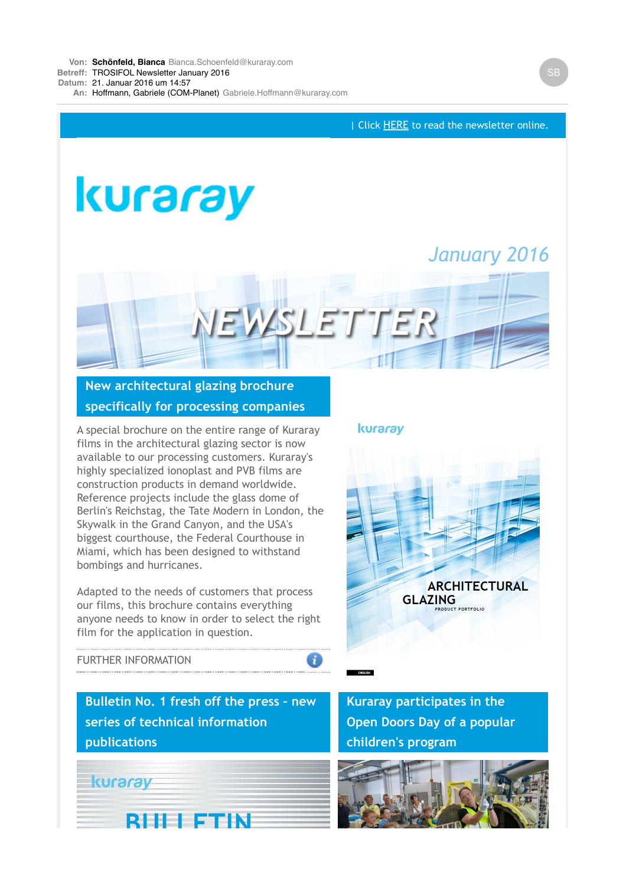

 $\bullet$ 

# **New architectural glazing brochure specifically for processing companies**

A special brochure on the entire range of Kuraray films in the architectural glazing sector is now available to our processing customers. Kuraray's highly specialized ionoplast and PVB films are construction products in demand worldwide. Reference projects include the glass dome of Berlin's Reichstag, the Tate Modern in London, the Skywalk in the Grand Canyon, and the USA's biggest courthouse, the Federal Courthouse in Miami, which has been designed to withstand bombings and hurricanes.

Adapted to the needs of customers that process our films, this brochure contains everything anyone needs to know in order to select the right film for the application in question.

## kuraray



### [FURTHER INFORMATION](https://login.mailingwork.de/-link2/7876/867/7/487/37/mmBNZs61/hq9i6PHKcV/0)

**Bulletin No. 1 fresh off the press – new series of technical information publications**



**Kuraray participates in the Open Doors Day of a popular children's program**

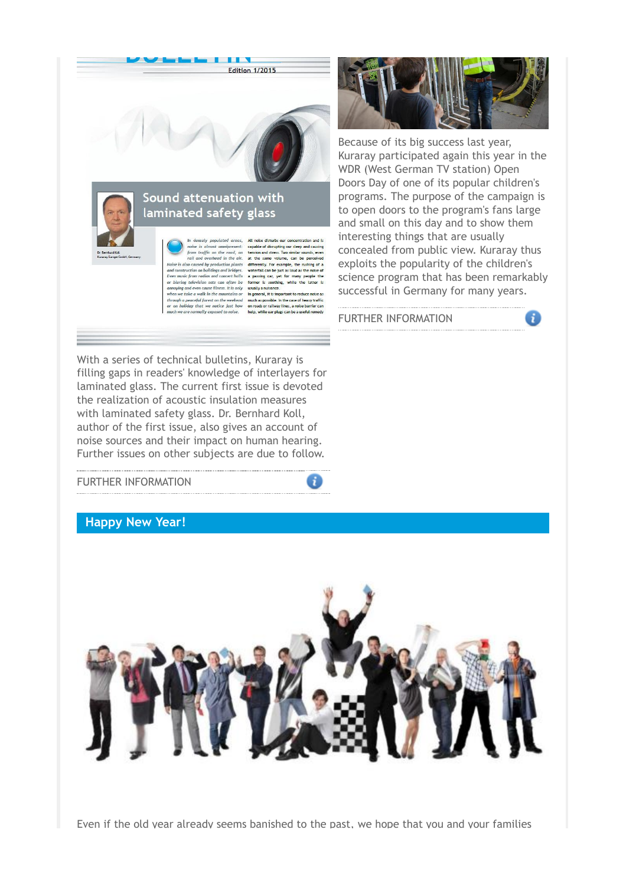



n densety populated areas,<br>noise is almost omnipresent:<br>from traffic on the road, on<br>rail and overhead in the air. can note discutios our concernation and is<br>capable of disrupting our sleep and causing<br>tension and stress. Two similar sounds, even<br>at the same volume, can be perceived Notice is also caused by production plants. differently, For example, the rushing<br>ond construction of buildings and bridges . waterally, For example, the rushing<br>and construction on buildings and bridges. waterally, For th annoying and even cause illness. It is only<br>when we take a walk in the mountains or In general, it is important to reduce no through a peaceful forest on the weekend much as possible. In the case of heavy traffic

holiday that we notice just how on roads or railway lines, a noise ba ier ca mally exposed to poise help, while ear plugs can be a useful re-

With a series of technical bulletins, Kuraray is filling gaps in readers' knowledge of interlayers for laminated glass. The current first issue is devoted the realization of acoustic insulation measures with laminated safety glass. Dr. Bernhard Koll, author of the first issue, also gives an account of noise sources and their impact on human hearing. Further issues on other subjects are due to follow.

#### [FURTHER INFORMATION](https://login.mailingwork.de/-link2/7876/867/9/491/37/mmBNZs61/hq9i6PHKcV/0)

### **Happy New Year!**



-i

Even if the old year already seems banished to the past, we hope that you and your families



Because of its big success last year, Kuraray participated again this year in the WDR (West German TV station) Open Doors Day of one of its popular children's programs. The purpose of the campaign is to open doors to the program's fans large and small on this day and to show them interesting things that are usually concealed from public view. Kuraray thus exploits the popularity of the children's science program that has been remarkably successful in Germany for many years.

a

[FURTHER INFORMATION](https://login.mailingwork.de/-link2/7876/867/11/495/37/mmBNZs61/hq9i6PHKcV/0/W2NvbnRyb2xsZXJd/W2FjdGlvbl0./W25ld3Nd)